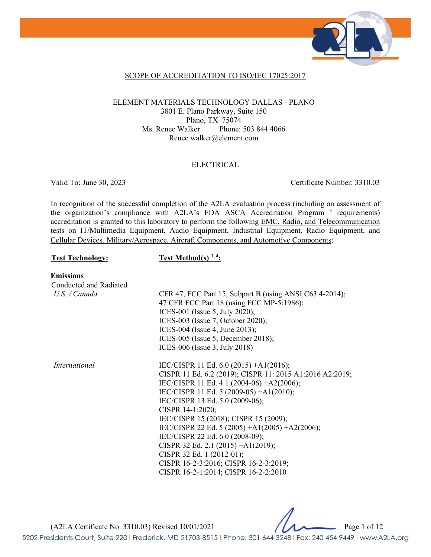

### SCOPE OF ACCREDITATION TO ISO/IEC 17025:2017

#### ELEMENT MATERIALS TECHNOLOGY DALLAS - PLANO 3801 E. Plano Parkway, Suite 150 Plano, TX 75074 Ms. Renee Walker Phone: 503 844 4066 Renee.walker@element.com

#### ELECTRICAL

Valid To: June 30, 2023 Certificate Number: 3310.03

In recognition of the successful completion of the A2LA evaluation process (including an assessment of the organization's compliance with A2LA's FDA ASCA Accreditation Program<sup>3</sup> requirements) accreditation is granted to this laboratory to perform the following EMC, Radio, and Telecommunication tests on IT/Multimedia Equipment, Audio Equipment, Industrial Equipment, Radio Equipment, and Cellular Devices, Military/Aerospace, Aircraft Components, and Automotive Components:

### Test Technology: Test Method(s)<sup>1,4</sup>:

**Emissions** 

| Conducted and Radiated |                                                          |
|------------------------|----------------------------------------------------------|
| $U.S.$ / Canada        | CFR 47, FCC Part 15, Subpart B (using ANSI C63.4-2014);  |
|                        | 47 CFR FCC Part 18 (using FCC MP-5:1986);                |
|                        | ICES-001 (Issue 5, July 2020);                           |
|                        | ICES-003 (Issue 7, October 2020);                        |
|                        | ICES-004 (Issue 4, June 2013);                           |
|                        | ICES-005 (Issue 5, December 2018);                       |
|                        | ICES-006 (Issue 3, July 2018)                            |
| International          | IEC/CISPR 11 Ed. 6.0 (2015) +A1(2016);                   |
|                        | CISPR 11 Ed. 6.2 (2019); CISPR 11: 2015 A1:2016 A2:2019; |
|                        | IEC/CISPR 11 Ed. 4.1 (2004-06) +A2(2006);                |
|                        | IEC/CISPR 11 Ed. 5 (2009-05) +A1(2010);                  |
|                        | IEC/CISPR 13 Ed. 5.0 (2009-06);                          |
|                        | CISPR 14-1:2020;                                         |
|                        | IEC/CISPR 15 (2018); CISPR 15 (2009);                    |
|                        | IEC/CISPR 22 Ed. 5 (2005) +A1(2005) +A2(2006);           |
|                        | IEC/CISPR 22 Ed. 6.0 (2008-09);                          |
|                        | CISPR 32 Ed. 2.1 (2015) + $A1(2019)$ ;                   |
|                        | CISPR 32 Ed. 1 (2012-01);                                |
|                        | CISPR 16-2-3:2016; CISPR 16-2-3:2019;                    |
|                        | CISPR 16-2-1:2014; CISPR 16-2-2:2010                     |

(A2LA Certificate No. 3310.03) Revised 10/01/2021 Page 1 of 12

5202 Presidents Court, Suite 220 | Frederick, MD 21703-8515 | Phone: 301 644 3248 | Fax: 240 454 9449 | www.A2LA.org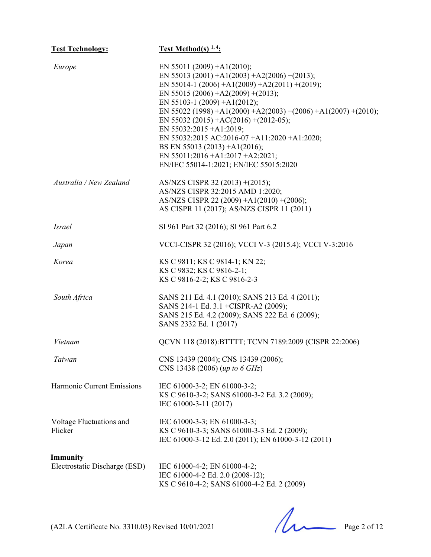| <b>Test Technology:</b>                   | <b>Test Method(s)</b> $1, 4$ :                                                                                                                                                                                                                                                                                                                                                                                                                                                                                  |
|-------------------------------------------|-----------------------------------------------------------------------------------------------------------------------------------------------------------------------------------------------------------------------------------------------------------------------------------------------------------------------------------------------------------------------------------------------------------------------------------------------------------------------------------------------------------------|
| Europe                                    | EN 55011 (2009) + A1(2010);<br>EN 55013 (2001) + A1(2003) + A2(2006) + (2013);<br>EN 55014-1 (2006) +A1(2009) +A2(2011) +(2019);<br>EN 55015 (2006) +A2(2009) +(2013);<br>EN 55103-1 (2009) +A1(2012);<br>EN 55022 (1998) +A1(2000) +A2(2003) +(2006) +A1(2007) +(2010);<br>EN 55032 (2015) + AC(2016) + (2012-05);<br>EN 55032:2015 +A1:2019;<br>EN 55032:2015 AC:2016-07 +A11:2020 +A1:2020;<br>BS EN 55013 (2013) +A1(2016);<br>EN 55011:2016 + A1:2017 + A2:2021;<br>EN/IEC 55014-1:2021; EN/IEC 55015:2020 |
| Australia / New Zealand                   | AS/NZS CISPR 32 (2013) + (2015);<br>AS/NZS CISPR 32:2015 AMD 1:2020;<br>AS/NZS CISPR 22 (2009) +A1(2010) +(2006);<br>AS CISPR 11 (2017); AS/NZS CISPR 11 (2011)                                                                                                                                                                                                                                                                                                                                                 |
| <i>Israel</i>                             | SI 961 Part 32 (2016); SI 961 Part 6.2                                                                                                                                                                                                                                                                                                                                                                                                                                                                          |
| Japan                                     | VCCI-CISPR 32 (2016); VCCI V-3 (2015.4); VCCI V-3:2016                                                                                                                                                                                                                                                                                                                                                                                                                                                          |
| Korea                                     | KS C 9811; KS C 9814-1; KN 22;<br>KS C 9832; KS C 9816-2-1;<br>KS C 9816-2-2; KS C 9816-2-3                                                                                                                                                                                                                                                                                                                                                                                                                     |
| South Africa                              | SANS 211 Ed. 4.1 (2010); SANS 213 Ed. 4 (2011);<br>SANS 214-1 Ed. 3.1 +CISPR-A2 (2009);<br>SANS 215 Ed. 4.2 (2009); SANS 222 Ed. 6 (2009);<br>SANS 2332 Ed. 1 (2017)                                                                                                                                                                                                                                                                                                                                            |
| Vietnam                                   | QCVN 118 (2018): BTTTT; TCVN 7189:2009 (CISPR 22:2006)                                                                                                                                                                                                                                                                                                                                                                                                                                                          |
| Taiwan                                    | CNS 13439 (2004); CNS 13439 (2006);<br>CNS 13438 (2006) (up to 6 GHz)                                                                                                                                                                                                                                                                                                                                                                                                                                           |
| Harmonic Current Emissions                | IEC 61000-3-2; EN 61000-3-2;<br>KS C 9610-3-2; SANS 61000-3-2 Ed. 3.2 (2009);<br>IEC 61000-3-11 (2017)                                                                                                                                                                                                                                                                                                                                                                                                          |
| Voltage Fluctuations and<br>Flicker       | IEC 61000-3-3; EN 61000-3-3;<br>KS C 9610-3-3; SANS 61000-3-3 Ed. 2 (2009);<br>IEC 61000-3-12 Ed. 2.0 (2011); EN 61000-3-12 (2011)                                                                                                                                                                                                                                                                                                                                                                              |
| Immunity<br>Electrostatic Discharge (ESD) | IEC 61000-4-2; EN 61000-4-2;<br>IEC 61000-4-2 Ed. 2.0 (2008-12);<br>KS C 9610-4-2; SANS 61000-4-2 Ed. 2 (2009)                                                                                                                                                                                                                                                                                                                                                                                                  |

 $(A2LA$  Certificate No. 3310.03) Revised  $10/01/2021$  Page 2 of 12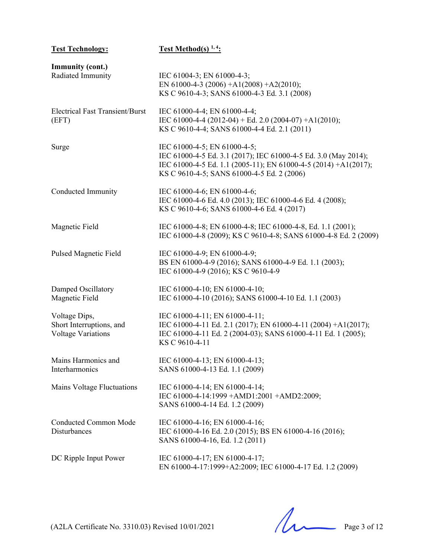| <b>Test Technology:</b>                                         | <b>Test Method(s)</b> $1, 4$ :                                                                                                                                                                                   |
|-----------------------------------------------------------------|------------------------------------------------------------------------------------------------------------------------------------------------------------------------------------------------------------------|
| <b>Immunity (cont.)</b><br>Radiated Immunity                    | IEC 61004-3; EN 61000-4-3;<br>EN 61000-4-3 (2006) + A1(2008) + A2(2010);<br>KS C 9610-4-3; SANS 61000-4-3 Ed. 3.1 (2008)                                                                                         |
| <b>Electrical Fast Transient/Burst</b><br>(EFT)                 | IEC 61000-4-4; EN 61000-4-4;<br>IEC 61000-4-4 (2012-04) + Ed. 2.0 (2004-07) + A1(2010);<br>KS C 9610-4-4; SANS 61000-4-4 Ed. 2.1 (2011)                                                                          |
| Surge                                                           | IEC 61000-4-5; EN 61000-4-5;<br>IEC 61000-4-5 Ed. 3.1 (2017); IEC 61000-4-5 Ed. 3.0 (May 2014);<br>IEC 61000-4-5 Ed. 1.1 (2005-11); EN 61000-4-5 (2014) +A1(2017);<br>KS C 9610-4-5; SANS 61000-4-5 Ed. 2 (2006) |
| Conducted Immunity                                              | IEC 61000-4-6; EN 61000-4-6;<br>IEC 61000-4-6 Ed. 4.0 (2013); IEC 61000-4-6 Ed. 4 (2008);<br>KS C 9610-4-6; SANS 61000-4-6 Ed. 4 (2017)                                                                          |
| Magnetic Field                                                  | IEC 61000-4-8; EN 61000-4-8; IEC 61000-4-8, Ed. 1.1 (2001);<br>IEC 61000-4-8 (2009); KS C 9610-4-8; SANS 61000-4-8 Ed. 2 (2009)                                                                                  |
| <b>Pulsed Magnetic Field</b>                                    | IEC 61000-4-9; EN 61000-4-9;<br>BS EN 61000-4-9 (2016); SANS 61000-4-9 Ed. 1.1 (2003);<br>IEC 61000-4-9 (2016); KS C 9610-4-9                                                                                    |
| Damped Oscillatory<br>Magnetic Field                            | IEC 61000-4-10; EN 61000-4-10;<br>IEC 61000-4-10 (2016); SANS 61000-4-10 Ed. 1.1 (2003)                                                                                                                          |
| Voltage Dips,<br>Short Interruptions, and<br>Voltage Variations | IEC 61000-4-11; EN 61000-4-11;<br>IEC 61000-4-11 Ed. 2.1 (2017); EN 61000-4-11 (2004) +A1(2017);<br>IEC 61000-4-11 Ed. 2 (2004-03); SANS 61000-4-11 Ed. 1 (2005);<br>KS C 9610-4-11                              |
| Mains Harmonics and<br>Interharmonics                           | IEC 61000-4-13; EN 61000-4-13;<br>SANS 61000-4-13 Ed. 1.1 (2009)                                                                                                                                                 |
| Mains Voltage Fluctuations                                      | IEC 61000-4-14; EN 61000-4-14;<br>IEC 61000-4-14:1999 + AMD1:2001 + AMD2:2009;<br>SANS 61000-4-14 Ed. 1.2 (2009)                                                                                                 |
| <b>Conducted Common Mode</b><br>Disturbances                    | IEC 61000-4-16; EN 61000-4-16;<br>IEC 61000-4-16 Ed. 2.0 (2015); BS EN 61000-4-16 (2016);<br>SANS 61000-4-16, Ed. 1.2 (2011)                                                                                     |
| DC Ripple Input Power                                           | IEC 61000-4-17; EN 61000-4-17;<br>EN 61000-4-17:1999+A2:2009; IEC 61000-4-17 Ed. 1.2 (2009)                                                                                                                      |

 $(A2LA$  Certificate No. 3310.03) Revised  $10/01/2021$  Page 3 of 12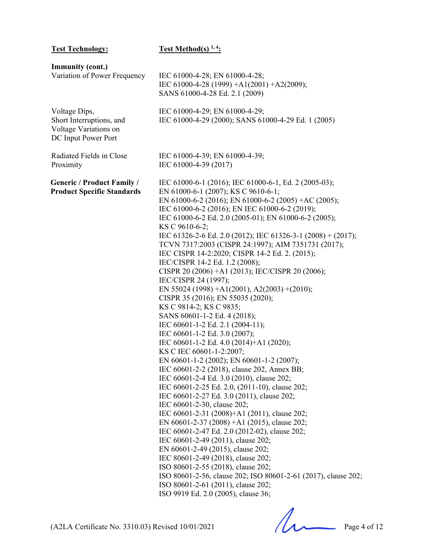| <b>Test Technology:</b>                                                                   | <b>Test Method(s)</b> $1, 4$ :                                                                                                                                                                                                                                                                                                                                                                                                                                                                                                                                                                                                                                                                                                                                                                                                                                                                                                                                                                                                                                                                                                                                                                                                                                                                                                                                                                                                                                                                                                                                                                      |
|-------------------------------------------------------------------------------------------|-----------------------------------------------------------------------------------------------------------------------------------------------------------------------------------------------------------------------------------------------------------------------------------------------------------------------------------------------------------------------------------------------------------------------------------------------------------------------------------------------------------------------------------------------------------------------------------------------------------------------------------------------------------------------------------------------------------------------------------------------------------------------------------------------------------------------------------------------------------------------------------------------------------------------------------------------------------------------------------------------------------------------------------------------------------------------------------------------------------------------------------------------------------------------------------------------------------------------------------------------------------------------------------------------------------------------------------------------------------------------------------------------------------------------------------------------------------------------------------------------------------------------------------------------------------------------------------------------------|
| <b>Immunity (cont.)</b><br>Variation of Power Frequency                                   | IEC 61000-4-28; EN 61000-4-28;<br>IEC 61000-4-28 (1999) +A1(2001) +A2(2009);<br>SANS 61000-4-28 Ed. 2.1 (2009)                                                                                                                                                                                                                                                                                                                                                                                                                                                                                                                                                                                                                                                                                                                                                                                                                                                                                                                                                                                                                                                                                                                                                                                                                                                                                                                                                                                                                                                                                      |
| Voltage Dips,<br>Short Interruptions, and<br>Voltage Variations on<br>DC Input Power Port | IEC 61000-4-29; EN 61000-4-29;<br>IEC 61000-4-29 (2000); SANS 61000-4-29 Ed. 1 (2005)                                                                                                                                                                                                                                                                                                                                                                                                                                                                                                                                                                                                                                                                                                                                                                                                                                                                                                                                                                                                                                                                                                                                                                                                                                                                                                                                                                                                                                                                                                               |
| Radiated Fields in Close<br>Proximity                                                     | IEC 61000-4-39; EN 61000-4-39;<br>IEC 61000-4-39 (2017)                                                                                                                                                                                                                                                                                                                                                                                                                                                                                                                                                                                                                                                                                                                                                                                                                                                                                                                                                                                                                                                                                                                                                                                                                                                                                                                                                                                                                                                                                                                                             |
| <b>Generic / Product Family /</b><br><b>Product Specific Standards</b>                    | IEC 61000-6-1 (2016); IEC 61000-6-1, Ed. 2 (2005-03);<br>EN 61000-6-1 (2007); KS C 9610-6-1;<br>EN 61000-6-2 (2016); EN 61000-6-2 (2005) +AC (2005);<br>IEC 61000-6-2 (2016); EN IEC 61000-6-2 (2019);<br>IEC 61000-6-2 Ed. 2.0 (2005-01); EN 61000-6-2 (2005);<br>KS C 9610-6-2;<br>IEC 61326-2-6 Ed. 2.0 (2012); IEC 61326-3-1 (2008) + (2017);<br>TCVN 7317:2003 (CISPR 24:1997); AIM 7351731 (2017);<br>IEC CISPR 14-2:2020; CISPR 14-2 Ed. 2. (2015);<br>IEC/CISPR 14-2 Ed. 1.2 (2008);<br>CISPR 20 (2006) +A1 (2013); IEC/CISPR 20 (2006);<br>IEC/CISPR 24 (1997);<br>EN 55024 (1998) +A1(2001), A2(2003) +(2010);<br>CISPR 35 (2016); EN 55035 (2020);<br>KS C 9814-2; KS C 9835;<br>SANS 60601-1-2 Ed. 4 (2018);<br>IEC 60601-1-2 Ed. 2.1 (2004-11);<br>IEC 60601-1-2 Ed. 3.0 (2007);<br>IEC 60601-1-2 Ed. 4.0 (2014)+A1 (2020);<br>KS C IEC 60601-1-2:2007;<br>EN 60601-1-2 (2002); EN 60601-1-2 (2007);<br>IEC 60601-2-2 (2018), clause 202, Annex BB;<br>IEC 60601-2-4 Ed. 3.0 (2010), clause 202;<br>IEC 60601-2-25 Ed. 2.0, (2011-10), clause 202;<br>IEC 60601-2-27 Ed. 3.0 (2011), clause 202;<br>IEC 60601-2-30, clause 202;<br>IEC 60601-2-31 (2008)+A1 (2011), clause 202;<br>EN 60601-2-37 (2008) +A1 (2015), clause 202;<br>IEC 60601-2-47 Ed. 2.0 (2012-02), clause 202;<br>IEC 60601-2-49 (2011), clause 202;<br>EN 60601-2-49 (2015), clause 202;<br>IEC 80601-2-49 (2018), clause 202;<br>ISO 80601-2-55 (2018), clause 202;<br>ISO 80601-2-56, clause 202; ISO 80601-2-61 (2017), clause 202;<br>ISO 80601-2-61 (2011), clause 202;<br>ISO 9919 Ed. 2.0 (2005), clause 36; |

 $(A2LA$  Certificate No. 3310.03) Revised  $10/01/2021$  Page 4 of 12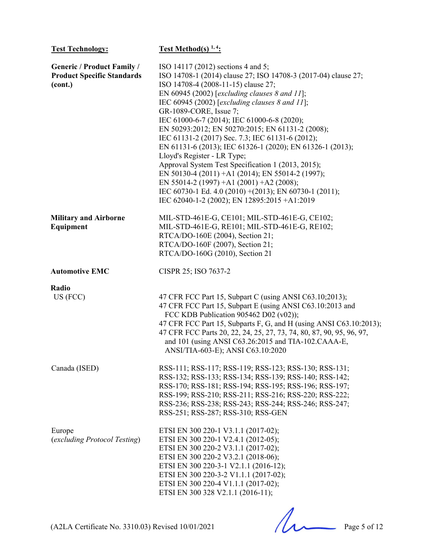| <b>Test Technology:</b>                                                           | <b>Test Method(s)</b> $1, 4$ :                                                                                                                                                                                                                                                                                                                                                                                                                                                                                                                                                                                                                                                                                                                                                                           |
|-----------------------------------------------------------------------------------|----------------------------------------------------------------------------------------------------------------------------------------------------------------------------------------------------------------------------------------------------------------------------------------------------------------------------------------------------------------------------------------------------------------------------------------------------------------------------------------------------------------------------------------------------------------------------------------------------------------------------------------------------------------------------------------------------------------------------------------------------------------------------------------------------------|
| <b>Generic / Product Family /</b><br><b>Product Specific Standards</b><br>(cont.) | ISO 14117 (2012) sections 4 and 5;<br>ISO 14708-1 (2014) clause 27; ISO 14708-3 (2017-04) clause 27;<br>ISO 14708-4 (2008-11-15) clause 27;<br>EN 60945 (2002) [excluding clauses $8$ and $11$ ];<br>IEC 60945 (2002) [excluding clauses $8$ and $11$ ];<br>GR-1089-CORE, Issue 7;<br>IEC 61000-6-7 (2014); IEC 61000-6-8 (2020);<br>EN 50293:2012; EN 50270:2015; EN 61131-2 (2008);<br>IEC 61131-2 (2017) Sec. 7.3; IEC 61131-6 (2012);<br>EN 61131-6 (2013); IEC 61326-1 (2020); EN 61326-1 (2013);<br>Lloyd's Register - LR Type;<br>Approval System Test Specification 1 (2013, 2015);<br>EN 50130-4 (2011) +A1 (2014); EN 55014-2 (1997);<br>EN 55014-2 (1997) + A1 (2001) + A2 (2008);<br>IEC 60730-1 Ed. 4.0 (2010) + (2013); EN 60730-1 (2011);<br>IEC 62040-1-2 (2002); EN 12895:2015 +A1:2019 |
| <b>Military and Airborne</b><br>Equipment                                         | MIL-STD-461E-G, CE101; MIL-STD-461E-G, CE102;<br>MIL-STD-461E-G, RE101; MIL-STD-461E-G, RE102;<br>RTCA/DO-160E (2004), Section 21;<br>RTCA/DO-160F (2007), Section 21;<br>RTCA/DO-160G (2010), Section 21                                                                                                                                                                                                                                                                                                                                                                                                                                                                                                                                                                                                |
| <b>Automotive EMC</b>                                                             | CISPR 25; ISO 7637-2                                                                                                                                                                                                                                                                                                                                                                                                                                                                                                                                                                                                                                                                                                                                                                                     |
| Radio<br>US (FCC)                                                                 | 47 CFR FCC Part 15, Subpart C (using ANSI C63.10;2013);<br>47 CFR FCC Part 15, Subpart E (using ANSI C63.10:2013 and<br>FCC KDB Publication 905462 D02 (v02));<br>47 CFR FCC Part 15, Subparts F, G, and H (using ANSI C63.10:2013);<br>47 CFR FCC Parts 20, 22, 24, 25, 27, 73, 74, 80, 87, 90, 95, 96, 97,<br>and 101 (using ANSI C63.26:2015 and TIA-102.CAAA-E,<br>ANSI/TIA-603-E); ANSI C63.10:2020                                                                                                                                                                                                                                                                                                                                                                                                 |
| Canada (ISED)                                                                     | RSS-111; RSS-117; RSS-119; RSS-123; RSS-130; RSS-131;<br>RSS-132; RSS-133; RSS-134; RSS-139; RSS-140; RSS-142;<br>RSS-170; RSS-181; RSS-194; RSS-195; RSS-196; RSS-197;<br>RSS-199; RSS-210; RSS-211; RSS-216; RSS-220; RSS-222;<br>RSS-236; RSS-238; RSS-243; RSS-244; RSS-246; RSS-247;<br>RSS-251; RSS-287; RSS-310; RSS-GEN                                                                                                                                                                                                                                                                                                                                                                                                                                                                          |
| Europe<br>(excluding Protocol Testing)                                            | ETSI EN 300 220-1 V3.1.1 (2017-02);<br>ETSI EN 300 220-1 V2.4.1 (2012-05);<br>ETSI EN 300 220-2 V3.1.1 (2017-02);<br>ETSI EN 300 220-2 V3.2.1 (2018-06);<br>ETSI EN 300 220-3-1 V2.1.1 (2016-12);<br>ETSI EN 300 220-3-2 V1.1.1 (2017-02);<br>ETSI EN 300 220-4 V1.1.1 (2017-02);<br>ETSI EN 300 328 V2.1.1 (2016-11);                                                                                                                                                                                                                                                                                                                                                                                                                                                                                   |

 $(A2LA$  Certificate No. 3310.03) Revised  $10/01/2021$  Page 5 of 12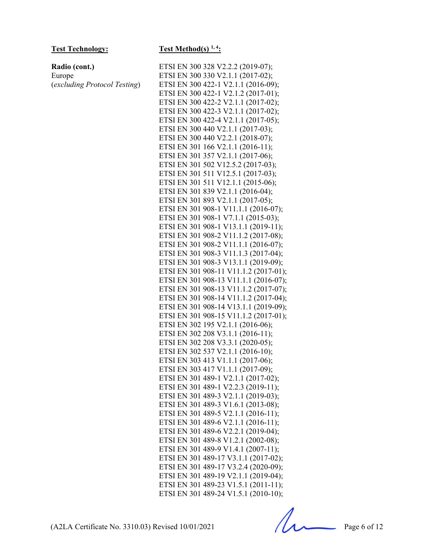(*excluding Protocol Testing*)

**Radio (cont.)**  Europe

#### Test Technology: Test Method(s) <sup>1, 4</sup>:

ETSI EN 300 328 V2.2.2 (2019-07); ETSI EN 300 330 V2.1.1 (2017-02); ETSI EN 300 422-1 V2.1.1 (2016-09); ETSI EN 300 422-1 V2.1.2 (2017-01); ETSI EN 300 422-2 V2.1.1 (2017-02); ETSI EN 300 422-3 V2.1.1 (2017-02); ETSI EN 300 422-4 V2.1.1 (2017-05); ETSI EN 300 440 V2.1.1 (2017-03); ETSI EN 300 440 V2.2.1 (2018-07); ETSI EN 301 166 V2.1.1 (2016-11); ETSI EN 301 357 V2.1.1 (2017-06); ETSI EN 301 502 V12.5.2 (2017-03); ETSI EN 301 511 V12.5.1 (2017-03); ETSI EN 301 511 V12.1.1 (2015-06); ETSI EN 301 839 V2.1.1 (2016-04); ETSI EN 301 893 V2.1.1 (2017-05); ETSI EN 301 908-1 V11.1.1 (2016-07); ETSI EN 301 908-1 V7.1.1 (2015-03); ETSI EN 301 908-1 V13.1.1 (2019-11); ETSI EN 301 908-2 V11.1.2 (2017-08); ETSI EN 301 908-2 V11.1.1 (2016-07); ETSI EN 301 908-3 V11.1.3 (2017-04); ETSI EN 301 908-3 V13.1.1 (2019-09); ETSI EN 301 908-11 V11.1.2 (2017-01); ETSI EN 301 908-13 V11.1.1 (2016-07); ETSI EN 301 908-13 V11.1.2 (2017-07); ETSI EN 301 908-14 V11.1.2 (2017-04); ETSI EN 301 908-14 V13.1.1 (2019-09); ETSI EN 301 908-15 V11.1.2 (2017-01); ETSI EN 302 195 V2.1.1 (2016-06); ETSI EN 302 208 V3.1.1 (2016-11); ETSI EN 302 208 V3.3.1 (2020-05); ETSI EN 302 537 V2.1.1 (2016-10); ETSI EN 303 413 V1.1.1 (2017-06); ETSI EN 303 417 V1.1.1 (2017-09); ETSI EN 301 489-1 V2.1.1 (2017-02); ETSI EN 301 489-1 V2.2.3 (2019-11); ETSI EN 301 489-3 V2.1.1 (2019-03); ETSI EN 301 489-3 V1.6.1 (2013-08); ETSI EN 301 489-5 V2.1.1 (2016-11); ETSI EN 301 489-6 V2.1.1 (2016-11); ETSI EN 301 489-6 V2.2.1 (2019-04); ETSI EN 301 489-8 V1.2.1 (2002-08); ETSI EN 301 489-9 V1.4.1 (2007-11); ETSI EN 301 489-17 V3.1.1 (2017-02); ETSI EN 301 489-17 V3.2.4 (2020-09); ETSI EN 301 489-19 V2.1.1 (2019-04); ETSI EN 301 489-23 V1.5.1 (2011-11); ETSI EN 301 489-24 V1.5.1 (2010-10);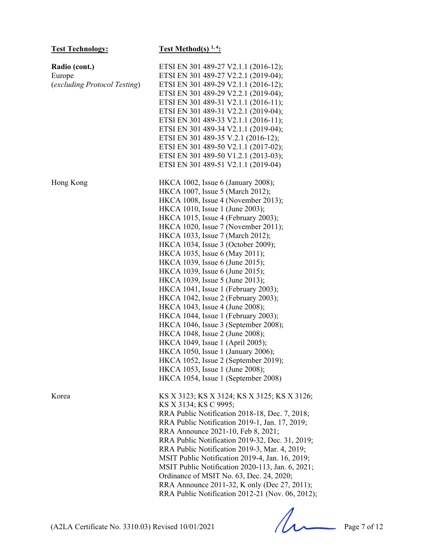| <b>Test Technology:</b>                                 | <b>Test Method(s)</b> $1, 4$ :                                                                                                                                                                                                                                                                                                                                                                                                                                                                                                                                                                                                                                                                                                                                                                                                                                                       |
|---------------------------------------------------------|--------------------------------------------------------------------------------------------------------------------------------------------------------------------------------------------------------------------------------------------------------------------------------------------------------------------------------------------------------------------------------------------------------------------------------------------------------------------------------------------------------------------------------------------------------------------------------------------------------------------------------------------------------------------------------------------------------------------------------------------------------------------------------------------------------------------------------------------------------------------------------------|
| Radio (cont.)<br>Europe<br>(excluding Protocol Testing) | ETSI EN 301 489-27 V2.1.1 (2016-12);<br>ETSI EN 301 489-27 V2.2.1 (2019-04);<br>ETSI EN 301 489-29 V2.1.1 (2016-12);<br>ETSI EN 301 489-29 V2.2.1 (2019-04);<br>ETSI EN 301 489-31 V2.1.1 (2016-11);<br>ETSI EN 301 489-31 V2.2.1 (2019-04);<br>ETSI EN 301 489-33 V2.1.1 (2016-11);<br>ETSI EN 301 489-34 V2.1.1 (2019-04);<br>ETSI EN 301 489-35 V.2.1 (2016-12);<br>ETSI EN 301 489-50 V2.1.1 (2017-02);<br>ETSI EN 301 489-50 V1.2.1 (2013-03);<br>ETSI EN 301 489-51 V2.1.1 (2019-04)                                                                                                                                                                                                                                                                                                                                                                                           |
| Hong Kong                                               | HKCA 1002, Issue 6 (January 2008);<br>HKCA 1007, Issue 5 (March 2012);<br>HKCA 1008, Issue 4 (November 2013);<br>HKCA 1010, Issue 1 (June 2003);<br>HKCA 1015, Issue 4 (February 2003);<br>HKCA 1020, Issue 7 (November 2011);<br>HKCA 1033, Issue 7 (March 2012);<br>HKCA 1034, Issue 3 (October 2009);<br>HKCA 1035, Issue 6 (May 2011);<br>HKCA 1039, Issue 6 (June 2015);<br>HKCA 1039, Issue 6 (June 2015);<br>HKCA 1039, Issue 5 (June 2013);<br>HKCA 1041, Issue 1 (February 2003);<br>HKCA 1042, Issue 2 (February 2003);<br>HKCA 1043, Issue 4 (June 2008);<br>HKCA 1044, Issue 1 (February 2003);<br>HKCA 1046, Issue 3 (September 2008);<br>HKCA 1048, Issue 2 (June 2008);<br>HKCA 1049, Issue 1 (April 2005);<br>HKCA 1050, Issue 1 (January 2006);<br>$HKCA$ 1052, Issue 2 (September 2019);<br>HKCA 1053, Issue 1 (June 2008);<br>HKCA 1054, Issue 1 (September 2008) |
| Korea                                                   | KS X 3123; KS X 3124; KS X 3125; KS X 3126;<br>KS X 3134; KS C 9995;<br>RRA Public Notification 2018-18, Dec. 7, 2018;<br>RRA Public Notification 2019-1, Jan. 17, 2019;<br>RRA Announce 2021-10, Feb 8, 2021;<br>RRA Public Notification 2019-32, Dec. 31, 2019;<br>RRA Public Notification 2019-3, Mar. 4, 2019;<br>MSIT Public Notification 2019-4, Jan. 16, 2019;<br>MSIT Public Notification 2020-113, Jan. 6, 2021;<br>Ordinance of MSIT No. 63, Dec. 24, 2020;<br>RRA Announce 2011-32, K only (Dec 27, 2011);<br>RRA Public Notification 2012-21 (Nov. 06, 2012);                                                                                                                                                                                                                                                                                                            |

(A2LA Certificate No. 3310.03) Revised 10/01/2021 Page 7 of 12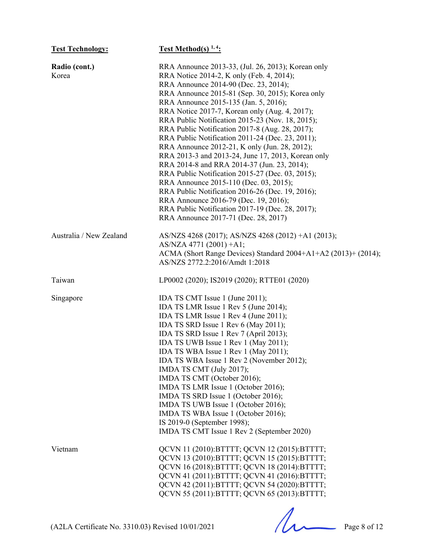| <b>Test Technology:</b>                           | <b>Test Method(s)</b> $1, 4$ :                                                                                                                                                                                                                                                                                                                                                                                                                                                                                                                                                                                                                                                                                                                                                                                                                                                                  |
|---------------------------------------------------|-------------------------------------------------------------------------------------------------------------------------------------------------------------------------------------------------------------------------------------------------------------------------------------------------------------------------------------------------------------------------------------------------------------------------------------------------------------------------------------------------------------------------------------------------------------------------------------------------------------------------------------------------------------------------------------------------------------------------------------------------------------------------------------------------------------------------------------------------------------------------------------------------|
| Radio (cont.)<br>Korea                            | RRA Announce 2013-33, (Jul. 26, 2013); Korean only<br>RRA Notice 2014-2, K only (Feb. 4, 2014);<br>RRA Announce 2014-90 (Dec. 23, 2014);<br>RRA Announce 2015-81 (Sep. 30, 2015); Korea only<br>RRA Announce 2015-135 (Jan. 5, 2016);<br>RRA Notice 2017-7, Korean only (Aug. 4, 2017);<br>RRA Public Notification 2015-23 (Nov. 18, 2015);<br>RRA Public Notification 2017-8 (Aug. 28, 2017);<br>RRA Public Notification 2011-24 (Dec. 23, 2011);<br>RRA Announce 2012-21, K only (Jun. 28, 2012);<br>RRA 2013-3 and 2013-24, June 17, 2013, Korean only<br>RRA 2014-8 and RRA 2014-37 (Jun. 23, 2014);<br>RRA Public Notification 2015-27 (Dec. 03, 2015);<br>RRA Announce 2015-110 (Dec. 03, 2015);<br>RRA Public Notification 2016-26 (Dec. 19, 2016);<br>RRA Announce 2016-79 (Dec. 19, 2016);<br>RRA Public Notification 2017-19 (Dec. 28, 2017);<br>RRA Announce 2017-71 (Dec. 28, 2017) |
| Australia / New Zealand                           | AS/NZS 4268 (2017); AS/NZS 4268 (2012) +A1 (2013);<br>AS/NZA 4771 (2001) + A1;<br>ACMA (Short Range Devices) Standard 2004+A1+A2 (2013)+ (2014);<br>AS/NZS 2772.2:2016/Amdt 1:2018                                                                                                                                                                                                                                                                                                                                                                                                                                                                                                                                                                                                                                                                                                              |
| Taiwan                                            | LP0002 (2020); IS2019 (2020); RTTE01 (2020)                                                                                                                                                                                                                                                                                                                                                                                                                                                                                                                                                                                                                                                                                                                                                                                                                                                     |
| Singapore                                         | IDA TS CMT Issue 1 (June 2011);<br>IDA TS LMR Issue 1 Rev 5 (June 2014);<br>IDA TS LMR Issue 1 Rev 4 (June 2011);<br>IDA TS SRD Issue 1 Rev 6 (May 2011);<br>IDA TS SRD Issue 1 Rev 7 (April 2013);<br>IDA TS UWB Issue 1 Rev 1 (May 2011);<br>IDA TS WBA Issue 1 Rev 1 (May 2011);<br>IDA TS WBA Issue 1 Rev 2 (November 2012);<br>IMDA TS CMT (July 2017);<br>IMDA TS CMT (October 2016);<br>IMDA TS LMR Issue 1 (October 2016);<br>IMDA TS SRD Issue 1 (October 2016);<br>IMDA TS UWB Issue 1 (October 2016);<br>IMDA TS WBA Issue 1 (October 2016);<br>IS 2019-0 (September 1998);<br>IMDA TS CMT Issue 1 Rev 2 (September 2020)                                                                                                                                                                                                                                                            |
| Vietnam                                           | QCVN 11 (2010):BTTTT; QCVN 12 (2015):BTTTT;<br>QCVN 13 (2010): BTTTT; QCVN 15 (2015): BTTTT;<br>QCVN 16 (2018): BTTTT; QCVN 18 (2014): BTTTT;<br>QCVN 41 (2011):BTTTT; QCVN 41 (2016):BTTTT;<br>QCVN 42 (2011):BTTTT; QCVN 54 (2020):BTTTT;<br>QCVN 55 (2011): BTTTT; QCVN 65 (2013): BTTTT;                                                                                                                                                                                                                                                                                                                                                                                                                                                                                                                                                                                                    |
| (A2LA Certificate No. 3310.03) Revised 10/01/2021 | Page 8 of 12                                                                                                                                                                                                                                                                                                                                                                                                                                                                                                                                                                                                                                                                                                                                                                                                                                                                                    |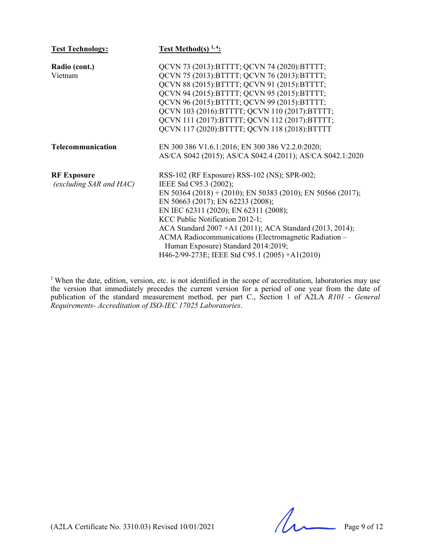| <b>Test Technology:</b>      | Test Method(s) $1, 4$ :                                     |
|------------------------------|-------------------------------------------------------------|
| Radio (cont.)                | QCVN 73 (2013): BTTTT; QCVN 74 (2020): BTTTT;               |
| Vietnam                      | QCVN 75 (2013): BTTTT; QCVN 76 (2013): BTTTT;               |
|                              | QCVN 88 (2015): BTTTT; QCVN 91 (2015): BTTTT;               |
|                              | QCVN 94 (2015): BTTTT; QCVN 95 (2015): BTTTT;               |
|                              | QCVN 96 (2015): BTTTT; QCVN 99 (2015): BTTTT;               |
|                              | QCVN 103 (2016):BTTTT; QCVN 110 (2017):BTTTT;               |
|                              | QCVN 111 (2017):BTTTT; QCVN 112 (2017):BTTTT;               |
|                              | QCVN 117 (2020): BTTTT; QCVN 118 (2018): BTTTT              |
| Telecommunication            | EN 300 386 V1.6.1:2016; EN 300 386 V2.2.0:2020;             |
|                              | AS/CA S042 (2015); AS/CA S042.4 (2011); AS/CA S042.1:2020   |
| <b>RF Exposure</b>           | RSS-102 (RF Exposure) RSS-102 (NS); SPR-002;                |
| $(excluding\ SAR\ and\ HAC)$ | IEEE Std C95.3 (2002);                                      |
|                              | EN 50364 (2018) + (2010); EN 50383 (2010); EN 50566 (2017); |
|                              | EN 50663 (2017); EN 62233 (2008);                           |
|                              | EN IEC 62311 (2020); EN 62311 (2008);                       |
|                              | KCC Public Notification 2012-1;                             |
|                              | ACA Standard 2007 +A1 (2011); ACA Standard (2013, 2014);    |
|                              | ACMA Radiocommunications (Electromagnetic Radiation -       |
|                              | Human Exposure) Standard 2014:2019;                         |
|                              | H46-2/99-273E; IEEE Std C95.1 (2005) +A1(2010)              |

<sup>1</sup> When the date, edition, version, etc. is not identified in the scope of accreditation, laboratories may use the version that immediately precedes the current version for a period of one year from the date of publication of the standard measurement method, per part C., Section 1 of A2LA *R101 - General Requirements- Accreditation of ISO-IEC 17025 Laboratories*.

 $(A2LA$  Certificate No. 3310.03) Revised  $10/01/2021$  Page 9 of 12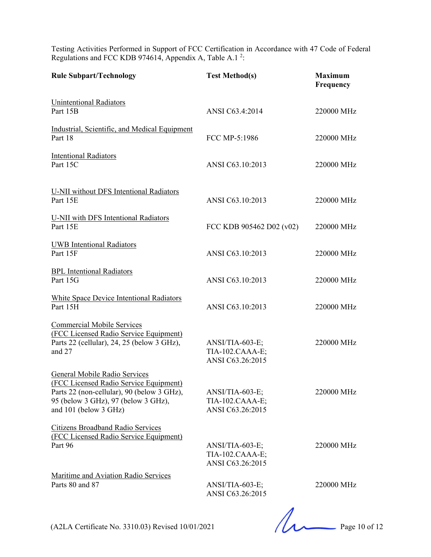Testing Activities Performed in Support of FCC Certification in Accordance with 47 Code of Federal Regulations and FCC KDB 974614, Appendix A, Table A.1<sup>2</sup>:

| <b>Rule Subpart/Technology</b>                                                                                                                                                        | <b>Test Method(s)</b>                                  | <b>Maximum</b><br>Frequency |
|---------------------------------------------------------------------------------------------------------------------------------------------------------------------------------------|--------------------------------------------------------|-----------------------------|
| <b>Unintentional Radiators</b><br>Part 15B                                                                                                                                            | ANSI C63.4:2014                                        | 220000 MHz                  |
| Industrial, Scientific, and Medical Equipment<br>Part 18                                                                                                                              | FCC MP-5:1986                                          | 220000 MHz                  |
| <b>Intentional Radiators</b><br>Part 15C                                                                                                                                              | ANSI C63.10:2013                                       | 220000 MHz                  |
| <b>U-NII</b> without DFS Intentional Radiators<br>Part 15E                                                                                                                            | ANSI C63.10:2013                                       | 220000 MHz                  |
| U-NII with DFS Intentional Radiators<br>Part 15E                                                                                                                                      | FCC KDB 905462 D02 (v02)                               | 220000 MHz                  |
| <b>UWB</b> Intentional Radiators<br>Part 15F                                                                                                                                          | ANSI C63.10:2013                                       | 220000 MHz                  |
| <b>BPL</b> Intentional Radiators<br>Part 15G                                                                                                                                          | ANSI C63.10:2013                                       | 220000 MHz                  |
| White Space Device Intentional Radiators<br>Part 15H                                                                                                                                  | ANSI C63.10:2013                                       | 220000 MHz                  |
| <b>Commercial Mobile Services</b><br>(FCC Licensed Radio Service Equipment)<br>Parts 22 (cellular), 24, 25 (below 3 GHz),<br>and 27                                                   | ANSI/TIA-603-E;<br>TIA-102.CAAA-E;<br>ANSI C63.26:2015 | 220000 MHz                  |
| General Mobile Radio Services<br>(FCC Licensed Radio Service Equipment)<br>Parts 22 (non-cellular), 90 (below 3 GHz),<br>95 (below 3 GHz), 97 (below 3 GHz),<br>and 101 (below 3 GHz) | ANSI/TIA-603-E;<br>TIA-102.CAAA-E;<br>ANSI C63.26:2015 | 220000 MHz                  |
| Citizens Broadband Radio Services<br>(FCC Licensed Radio Service Equipment)<br>Part 96                                                                                                | ANSI/TIA-603-E;<br>TIA-102.CAAA-E;<br>ANSI C63.26:2015 | 220000 MHz                  |
| Maritime and Aviation Radio Services<br>Parts 80 and 87                                                                                                                               | ANSI/TIA-603-E;<br>ANSI C63.26:2015                    | 220000 MHz                  |

(A2LA Certificate No. 3310.03) Revised 10/01/2021 Page 10 of 12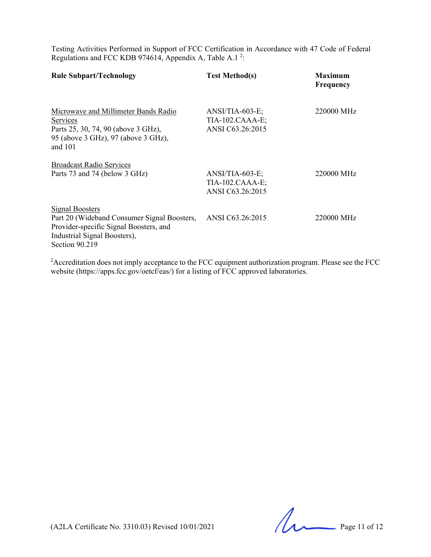Testing Activities Performed in Support of FCC Certification in Accordance with 47 Code of Federal Regulations and FCC KDB 974614, Appendix A, Table A.1<sup>2</sup>:

| <b>Rule Subpart/Technology</b>                                                                                                                                    | <b>Test Method(s)</b>                                    | <b>Maximum</b><br>Frequency |
|-------------------------------------------------------------------------------------------------------------------------------------------------------------------|----------------------------------------------------------|-----------------------------|
| Microwave and Millimeter Bands Radio<br>Services<br>Parts 25, 30, 74, 90 (above 3 GHz),<br>95 (above 3 GHz), 97 (above 3 GHz),<br>and $101$                       | $ANSI/TIA-603-E;$<br>TIA-102.CAAA-E;<br>ANSI C63.26:2015 | 220000 MHz                  |
| <b>Broadcast Radio Services</b><br>Parts 73 and 74 (below 3 GHz)                                                                                                  | $ANSI/TIA-603-E;$<br>TIA-102.CAAA-E;<br>ANSI C63.26:2015 | 220000 MHz                  |
| <b>Signal Boosters</b><br>Part 20 (Wideband Consumer Signal Boosters,<br>Provider-specific Signal Boosters, and<br>Industrial Signal Boosters),<br>Section 90.219 | ANSI C63.26:2015                                         | 220000 MHz                  |

 $2A$ ccreditation does not imply acceptance to the FCC equipment authorization program. Please see the FCC website (https://apps.fcc.gov/oetcf/eas/) for a listing of FCC approved laboratories.

(A2LA Certificate No. 3310.03) Revised 10/01/2021 Page 11 of 12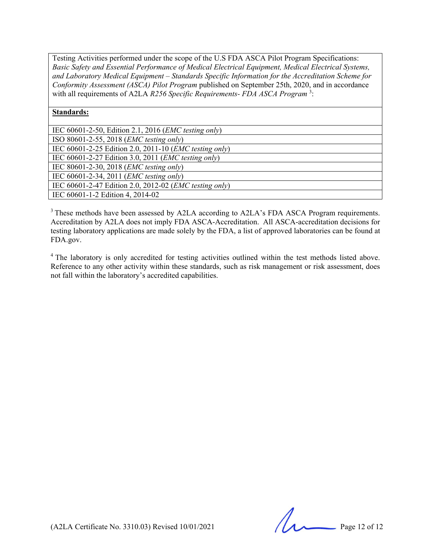Testing Activities performed under the scope of the U.S FDA ASCA Pilot Program Specifications: *Basic Safety and Essential Performance of Medical Electrical Equipment, Medical Electrical Systems, and Laboratory Medical Equipment – Standards Specific Information for the Accreditation Scheme for Conformity Assessment (ASCA) Pilot Program* published on September 25th, 2020, and in accordance with all requirements of A2LA *R256 Specific Requirements- FDA ASCA Program*<sup>3</sup>:

#### **Standards:**

| IEC 60601-2-50, Edition 2.1, 2016 ( <i>EMC testing only</i> )   |
|-----------------------------------------------------------------|
| ISO 80601-2-55, 2018 ( <i>EMC testing only</i> )                |
| IEC 60601-2-25 Edition 2.0, 2011-10 ( <i>EMC testing only</i> ) |
| IEC 60601-2-27 Edition 3.0, 2011 ( <i>EMC testing only</i> )    |
| IEC 80601-2-30, 2018 ( <i>EMC testing only</i> )                |
| IEC 60601-2-34, 2011 ( <i>EMC testing only</i> )                |
| IEC 60601-2-47 Edition 2.0, 2012-02 ( <i>EMC testing only</i> ) |
| IEC 60601-1-2 Edition 4, 2014-02                                |

<sup>3</sup> These methods have been assessed by A2LA according to A2LA's FDA ASCA Program requirements. Accreditation by A2LA does not imply FDA ASCA-Accreditation. All ASCA-accreditation decisions for testing laboratory applications are made solely by the FDA, a list of approved laboratories can be found at FDA.gov.

<sup>4</sup> The laboratory is only accredited for testing activities outlined within the test methods listed above. Reference to any other activity within these standards, such as risk management or risk assessment, does not fall within the laboratory's accredited capabilities.